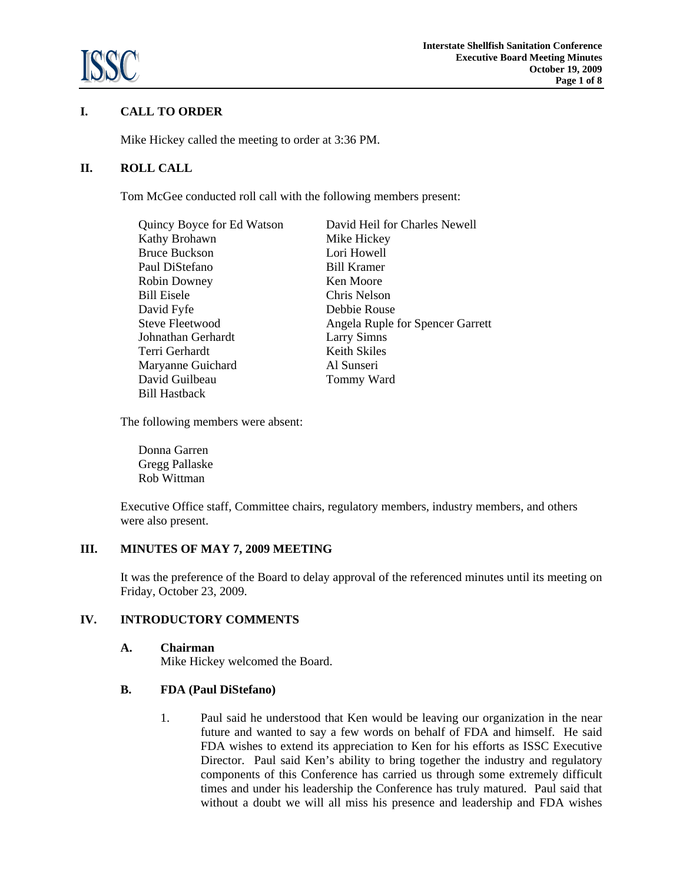

# **I. CALL TO ORDER**

Mike Hickey called the meeting to order at 3:36 PM.

# **II. ROLL CALL**

Tom McGee conducted roll call with the following members present:

| Quincy Boyce for Ed Watson | David Heil for Charles Newell    |
|----------------------------|----------------------------------|
| Kathy Brohawn              | Mike Hickey                      |
| <b>Bruce Buckson</b>       | Lori Howell                      |
| Paul DiStefano             | <b>Bill Kramer</b>               |
| Robin Downey               | Ken Moore                        |
| <b>Bill Eisele</b>         | Chris Nelson                     |
| David Fyfe                 | Debbie Rouse                     |
| Steve Fleetwood            | Angela Ruple for Spencer Garrett |
| Johnathan Gerhardt         | <b>Larry Simns</b>               |
| Terri Gerhardt             | Keith Skiles                     |
| Maryanne Guichard          | Al Sunseri                       |
| David Guilbeau             | Tommy Ward                       |
| <b>Bill Hastback</b>       |                                  |

The following members were absent:

Donna Garren Gregg Pallaske Rob Wittman

 Executive Office staff, Committee chairs, regulatory members, industry members, and others were also present.

# **III. MINUTES OF MAY 7, 2009 MEETING**

It was the preference of the Board to delay approval of the referenced minutes until its meeting on Friday, October 23, 2009.

# **IV. INTRODUCTORY COMMENTS**

**A. Chairman**

Mike Hickey welcomed the Board.

# **B. FDA (Paul DiStefano)**

1. Paul said he understood that Ken would be leaving our organization in the near future and wanted to say a few words on behalf of FDA and himself. He said FDA wishes to extend its appreciation to Ken for his efforts as ISSC Executive Director. Paul said Ken's ability to bring together the industry and regulatory components of this Conference has carried us through some extremely difficult times and under his leadership the Conference has truly matured. Paul said that without a doubt we will all miss his presence and leadership and FDA wishes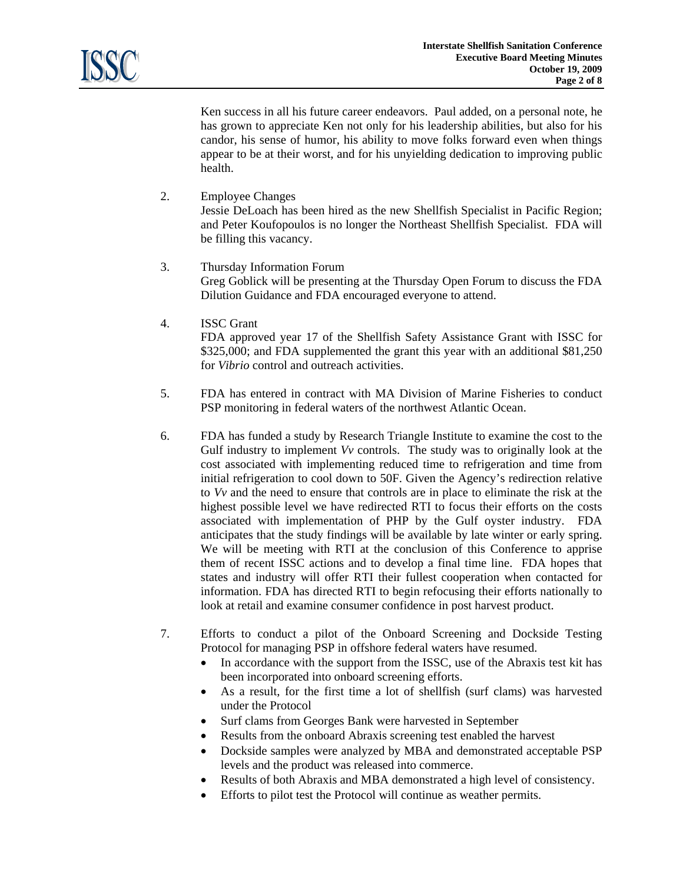Ken success in all his future career endeavors. Paul added, on a personal note, he has grown to appreciate Ken not only for his leadership abilities, but also for his candor, his sense of humor, his ability to move folks forward even when things appear to be at their worst, and for his unyielding dedication to improving public health.

2. Employee Changes

Jessie DeLoach has been hired as the new Shellfish Specialist in Pacific Region; and Peter Koufopoulos is no longer the Northeast Shellfish Specialist. FDA will be filling this vacancy.

- 3. Thursday Information Forum Greg Goblick will be presenting at the Thursday Open Forum to discuss the FDA Dilution Guidance and FDA encouraged everyone to attend.
- 4. ISSC Grant

FDA approved year 17 of the Shellfish Safety Assistance Grant with ISSC for \$325,000; and FDA supplemented the grant this year with an additional \$81,250 for *Vibrio* control and outreach activities.

- 5. FDA has entered in contract with MA Division of Marine Fisheries to conduct PSP monitoring in federal waters of the northwest Atlantic Ocean.
- 6. FDA has funded a study by Research Triangle Institute to examine the cost to the Gulf industry to implement *Vv* controls. The study was to originally look at the cost associated with implementing reduced time to refrigeration and time from initial refrigeration to cool down to 50F. Given the Agency's redirection relative to *Vv* and the need to ensure that controls are in place to eliminate the risk at the highest possible level we have redirected RTI to focus their efforts on the costs associated with implementation of PHP by the Gulf oyster industry. FDA anticipates that the study findings will be available by late winter or early spring. We will be meeting with RTI at the conclusion of this Conference to apprise them of recent ISSC actions and to develop a final time line. FDA hopes that states and industry will offer RTI their fullest cooperation when contacted for information. FDA has directed RTI to begin refocusing their efforts nationally to look at retail and examine consumer confidence in post harvest product.
- 7. Efforts to conduct a pilot of the Onboard Screening and Dockside Testing Protocol for managing PSP in offshore federal waters have resumed.
	- In accordance with the support from the ISSC, use of the Abraxis test kit has been incorporated into onboard screening efforts.
	- As a result, for the first time a lot of shellfish (surf clams) was harvested under the Protocol
	- Surf clams from Georges Bank were harvested in September
	- Results from the onboard Abraxis screening test enabled the harvest
	- Dockside samples were analyzed by MBA and demonstrated acceptable PSP levels and the product was released into commerce.
	- Results of both Abraxis and MBA demonstrated a high level of consistency.
	- Efforts to pilot test the Protocol will continue as weather permits.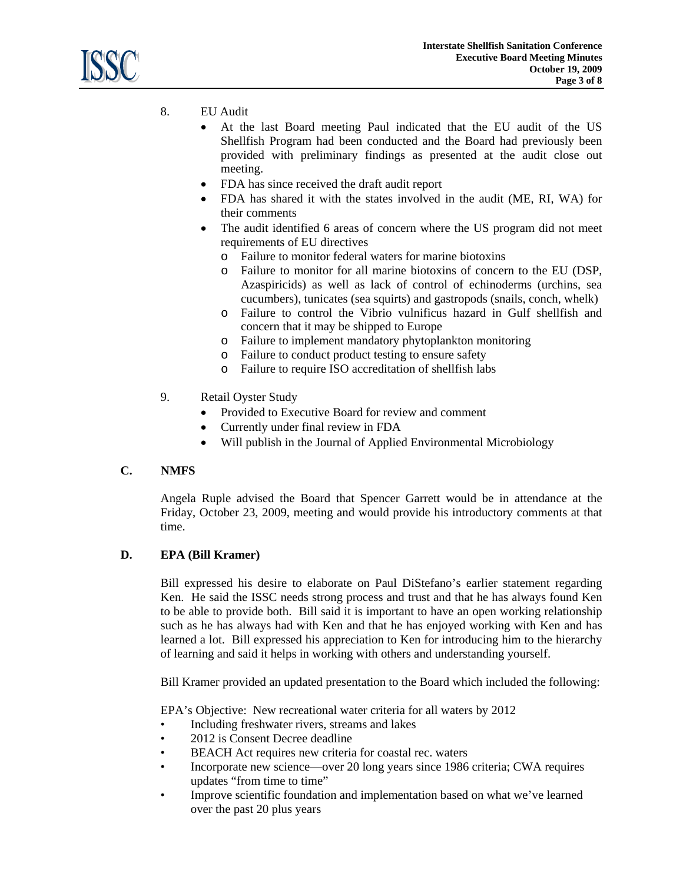

- 8. EU Audit
	- At the last Board meeting Paul indicated that the EU audit of the US Shellfish Program had been conducted and the Board had previously been provided with preliminary findings as presented at the audit close out meeting.
	- FDA has since received the draft audit report
	- FDA has shared it with the states involved in the audit (ME, RI, WA) for their comments
	- The audit identified 6 areas of concern where the US program did not meet requirements of EU directives
		- o Failure to monitor federal waters for marine biotoxins
		- o Failure to monitor for all marine biotoxins of concern to the EU (DSP, Azaspiricids) as well as lack of control of echinoderms (urchins, sea cucumbers), tunicates (sea squirts) and gastropods (snails, conch, whelk)
		- o Failure to control the Vibrio vulnificus hazard in Gulf shellfish and concern that it may be shipped to Europe
		- o Failure to implement mandatory phytoplankton monitoring
		- o Failure to conduct product testing to ensure safety
		- o Failure to require ISO accreditation of shellfish labs
- 9. Retail Oyster Study
	- Provided to Executive Board for review and comment
	- Currently under final review in FDA
	- Will publish in the Journal of Applied Environmental Microbiology

# **C. NMFS**

 Angela Ruple advised the Board that Spencer Garrett would be in attendance at the Friday, October 23, 2009, meeting and would provide his introductory comments at that time.

# **D. EPA (Bill Kramer)**

 Bill expressed his desire to elaborate on Paul DiStefano's earlier statement regarding Ken. He said the ISSC needs strong process and trust and that he has always found Ken to be able to provide both. Bill said it is important to have an open working relationship such as he has always had with Ken and that he has enjoyed working with Ken and has learned a lot. Bill expressed his appreciation to Ken for introducing him to the hierarchy of learning and said it helps in working with others and understanding yourself.

Bill Kramer provided an updated presentation to the Board which included the following:

EPA's Objective: New recreational water criteria for all waters by 2012

- Including freshwater rivers, streams and lakes
- 2012 is Consent Decree deadline
- BEACH Act requires new criteria for coastal rec. waters
- Incorporate new science—over 20 long years since 1986 criteria; CWA requires updates "from time to time"
- Improve scientific foundation and implementation based on what we've learned over the past 20 plus years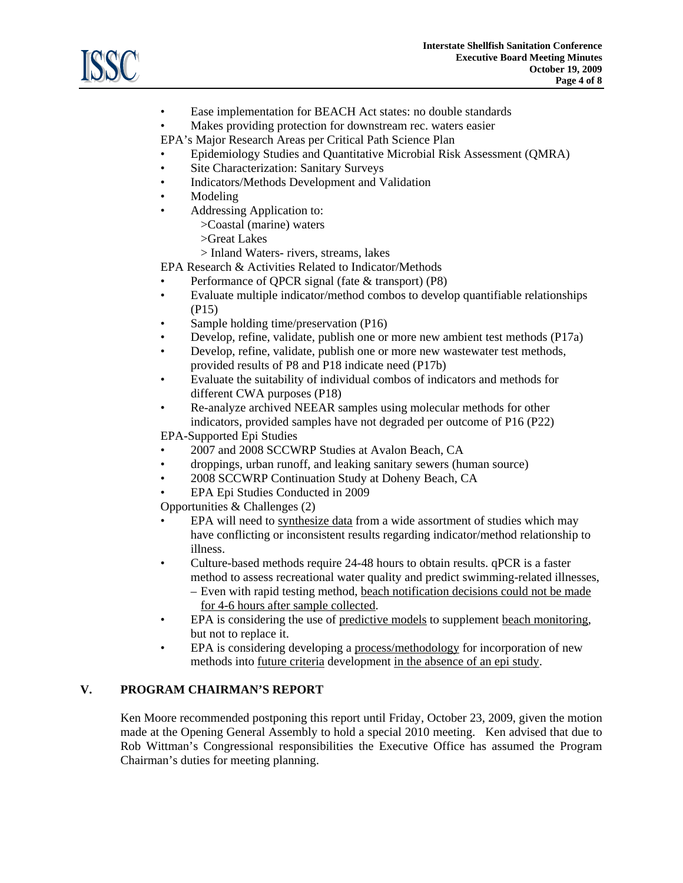

- Ease implementation for BEACH Act states: no double standards
- Makes providing protection for downstream rec. waters easier

EPA's Major Research Areas per Critical Path Science Plan

- Epidemiology Studies and Quantitative Microbial Risk Assessment (QMRA)
- Site Characterization: Sanitary Surveys
- Indicators/Methods Development and Validation
- Modeling
- Addressing Application to:
	- >Coastal (marine) waters
	- >Great Lakes
	- > Inland Waters- rivers, streams, lakes

EPA Research & Activities Related to Indicator/Methods

- Performance of QPCR signal (fate & transport) (P8)
- Evaluate multiple indicator/method combos to develop quantifiable relationships (P15)
- Sample holding time/preservation (P16)
- Develop, refine, validate, publish one or more new ambient test methods (P17a)
- Develop, refine, validate, publish one or more new wastewater test methods, provided results of P8 and P18 indicate need (P17b)
- Evaluate the suitability of individual combos of indicators and methods for different CWA purposes (P18)
- Re-analyze archived NEEAR samples using molecular methods for other indicators, provided samples have not degraded per outcome of P16 (P22)

EPA-Supported Epi Studies

- 2007 and 2008 SCCWRP Studies at Avalon Beach, CA
- droppings, urban runoff, and leaking sanitary sewers (human source)
- 2008 SCCWRP Continuation Study at Doheny Beach, CA
- EPA Epi Studies Conducted in 2009

Opportunities & Challenges (2)

- EPA will need to synthesize data from a wide assortment of studies which may have conflicting or inconsistent results regarding indicator/method relationship to illness.
- Culture-based methods require 24-48 hours to obtain results. qPCR is a faster method to assess recreational water quality and predict swimming-related illnesses, – Even with rapid testing method, beach notification decisions could not be made for 4-6 hours after sample collected.
- EPA is considering the use of predictive models to supplement beach monitoring, but not to replace it.
- EPA is considering developing a process/methodology for incorporation of new methods into future criteria development in the absence of an epi study.

# **V. PROGRAM CHAIRMAN'S REPORT**

Ken Moore recommended postponing this report until Friday, October 23, 2009, given the motion made at the Opening General Assembly to hold a special 2010 meeting. Ken advised that due to Rob Wittman's Congressional responsibilities the Executive Office has assumed the Program Chairman's duties for meeting planning.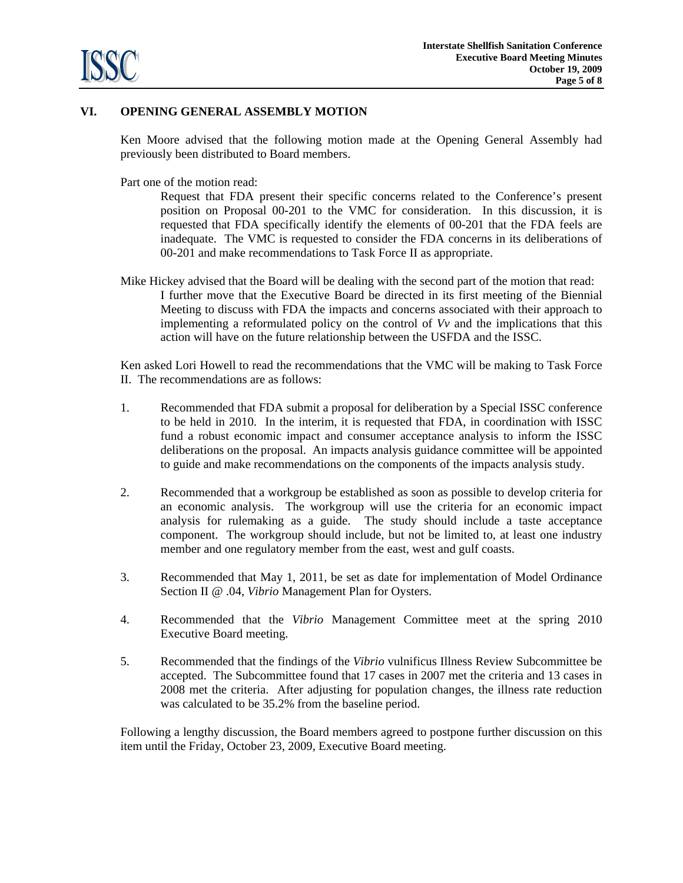

# **VI. OPENING GENERAL ASSEMBLY MOTION**

Ken Moore advised that the following motion made at the Opening General Assembly had previously been distributed to Board members.

Part one of the motion read:

Request that FDA present their specific concerns related to the Conference's present position on Proposal 00-201 to the VMC for consideration. In this discussion, it is requested that FDA specifically identify the elements of 00-201 that the FDA feels are inadequate. The VMC is requested to consider the FDA concerns in its deliberations of 00-201 and make recommendations to Task Force II as appropriate.

Mike Hickey advised that the Board will be dealing with the second part of the motion that read: I further move that the Executive Board be directed in its first meeting of the Biennial Meeting to discuss with FDA the impacts and concerns associated with their approach to implementing a reformulated policy on the control of *Vv* and the implications that this action will have on the future relationship between the USFDA and the ISSC.

 Ken asked Lori Howell to read the recommendations that the VMC will be making to Task Force II. The recommendations are as follows:

- 1. Recommended that FDA submit a proposal for deliberation by a Special ISSC conference to be held in 2010. In the interim, it is requested that FDA, in coordination with ISSC fund a robust economic impact and consumer acceptance analysis to inform the ISSC deliberations on the proposal. An impacts analysis guidance committee will be appointed to guide and make recommendations on the components of the impacts analysis study.
- 2. Recommended that a workgroup be established as soon as possible to develop criteria for an economic analysis. The workgroup will use the criteria for an economic impact analysis for rulemaking as a guide. The study should include a taste acceptance component. The workgroup should include, but not be limited to, at least one industry member and one regulatory member from the east, west and gulf coasts.
- 3. Recommended that May 1, 2011, be set as date for implementation of Model Ordinance Section II @ .04, *Vibrio* Management Plan for Oysters.
- 4. Recommended that the *Vibrio* Management Committee meet at the spring 2010 Executive Board meeting.
- 5. Recommended that the findings of the *Vibrio* vulnificus Illness Review Subcommittee be accepted. The Subcommittee found that 17 cases in 2007 met the criteria and 13 cases in 2008 met the criteria. After adjusting for population changes, the illness rate reduction was calculated to be 35.2% from the baseline period.

Following a lengthy discussion, the Board members agreed to postpone further discussion on this item until the Friday, October 23, 2009, Executive Board meeting.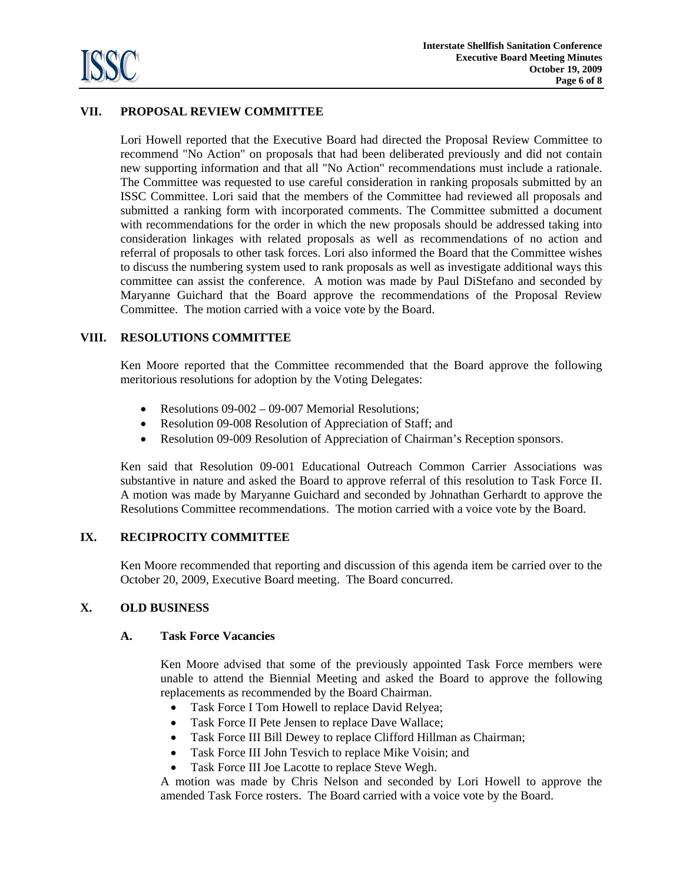

# **VII. PROPOSAL REVIEW COMMITTEE**

Lori Howell reported that the Executive Board had directed the Proposal Review Committee to recommend "No Action" on proposals that had been deliberated previously and did not contain new supporting information and that all "No Action" recommendations must include a rationale. The Committee was requested to use careful consideration in ranking proposals submitted by an ISSC Committee. Lori said that the members of the Committee had reviewed all proposals and submitted a ranking form with incorporated comments. The Committee submitted a document with recommendations for the order in which the new proposals should be addressed taking into consideration linkages with related proposals as well as recommendations of no action and referral of proposals to other task forces. Lori also informed the Board that the Committee wishes to discuss the numbering system used to rank proposals as well as investigate additional ways this committee can assist the conference. A motion was made by Paul DiStefano and seconded by Maryanne Guichard that the Board approve the recommendations of the Proposal Review Committee. The motion carried with a voice vote by the Board.

# **VIII. RESOLUTIONS COMMITTEE**

Ken Moore reported that the Committee recommended that the Board approve the following meritorious resolutions for adoption by the Voting Delegates:

- Resolutions 09-002 09-007 Memorial Resolutions;
- Resolution 09-008 Resolution of Appreciation of Staff; and
- Resolution 09-009 Resolution of Appreciation of Chairman's Reception sponsors.

Ken said that Resolution 09-001 Educational Outreach Common Carrier Associations was substantive in nature and asked the Board to approve referral of this resolution to Task Force II. A motion was made by Maryanne Guichard and seconded by Johnathan Gerhardt to approve the Resolutions Committee recommendations. The motion carried with a voice vote by the Board.

# **IX. RECIPROCITY COMMITTEE**

Ken Moore recommended that reporting and discussion of this agenda item be carried over to the October 20, 2009, Executive Board meeting. The Board concurred.

# **X. OLD BUSINESS**

#### **A. Task Force Vacancies**

Ken Moore advised that some of the previously appointed Task Force members were unable to attend the Biennial Meeting and asked the Board to approve the following replacements as recommended by the Board Chairman.

- Task Force I Tom Howell to replace David Relyea;
- Task Force II Pete Jensen to replace Dave Wallace;
- Task Force III Bill Dewey to replace Clifford Hillman as Chairman;
- Task Force III John Tesvich to replace Mike Voisin; and
- Task Force III Joe Lacotte to replace Steve Wegh.

A motion was made by Chris Nelson and seconded by Lori Howell to approve the amended Task Force rosters. The Board carried with a voice vote by the Board.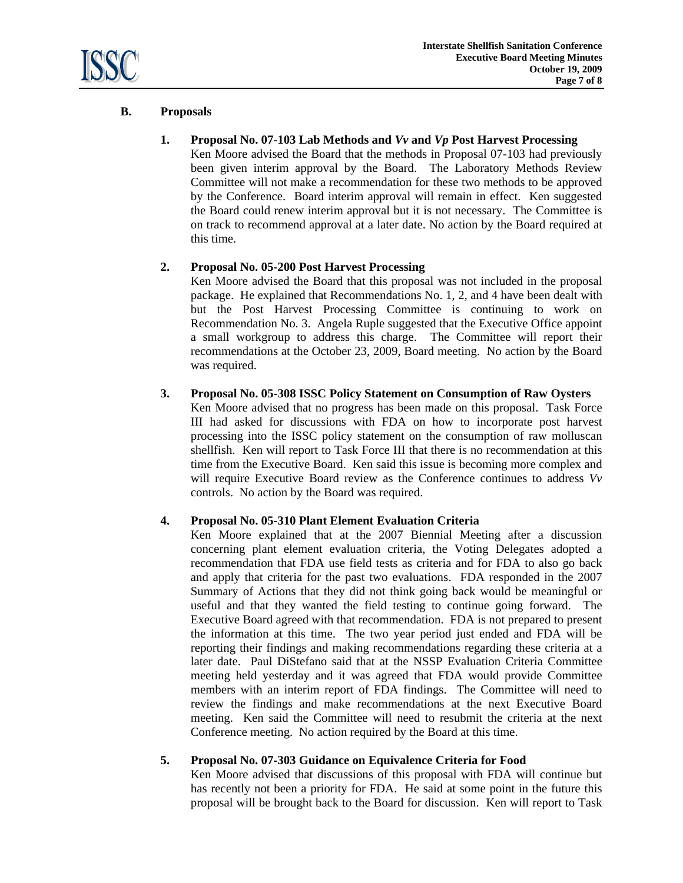

# **B. Proposals**

# **1. Proposal No. 07-103 Lab Methods and** *Vv* **and** *Vp* **Post Harvest Processing**

Ken Moore advised the Board that the methods in Proposal 07-103 had previously been given interim approval by the Board. The Laboratory Methods Review Committee will not make a recommendation for these two methods to be approved by the Conference. Board interim approval will remain in effect. Ken suggested the Board could renew interim approval but it is not necessary. The Committee is on track to recommend approval at a later date. No action by the Board required at this time.

# **2. Proposal No. 05-200 Post Harvest Processing**

Ken Moore advised the Board that this proposal was not included in the proposal package. He explained that Recommendations No. 1, 2, and 4 have been dealt with but the Post Harvest Processing Committee is continuing to work on Recommendation No. 3. Angela Ruple suggested that the Executive Office appoint a small workgroup to address this charge. The Committee will report their recommendations at the October 23, 2009, Board meeting. No action by the Board was required.

# **3. Proposal No. 05-308 ISSC Policy Statement on Consumption of Raw Oysters**

Ken Moore advised that no progress has been made on this proposal. Task Force III had asked for discussions with FDA on how to incorporate post harvest processing into the ISSC policy statement on the consumption of raw molluscan shellfish. Ken will report to Task Force III that there is no recommendation at this time from the Executive Board. Ken said this issue is becoming more complex and will require Executive Board review as the Conference continues to address *Vv* controls. No action by the Board was required.

# **4. Proposal No. 05-310 Plant Element Evaluation Criteria**

Ken Moore explained that at the 2007 Biennial Meeting after a discussion concerning plant element evaluation criteria, the Voting Delegates adopted a recommendation that FDA use field tests as criteria and for FDA to also go back and apply that criteria for the past two evaluations. FDA responded in the 2007 Summary of Actions that they did not think going back would be meaningful or useful and that they wanted the field testing to continue going forward. The Executive Board agreed with that recommendation. FDA is not prepared to present the information at this time. The two year period just ended and FDA will be reporting their findings and making recommendations regarding these criteria at a later date. Paul DiStefano said that at the NSSP Evaluation Criteria Committee meeting held yesterday and it was agreed that FDA would provide Committee members with an interim report of FDA findings. The Committee will need to review the findings and make recommendations at the next Executive Board meeting. Ken said the Committee will need to resubmit the criteria at the next Conference meeting. No action required by the Board at this time.

# **5. Proposal No. 07-303 Guidance on Equivalence Criteria for Food**

Ken Moore advised that discussions of this proposal with FDA will continue but has recently not been a priority for FDA. He said at some point in the future this proposal will be brought back to the Board for discussion. Ken will report to Task